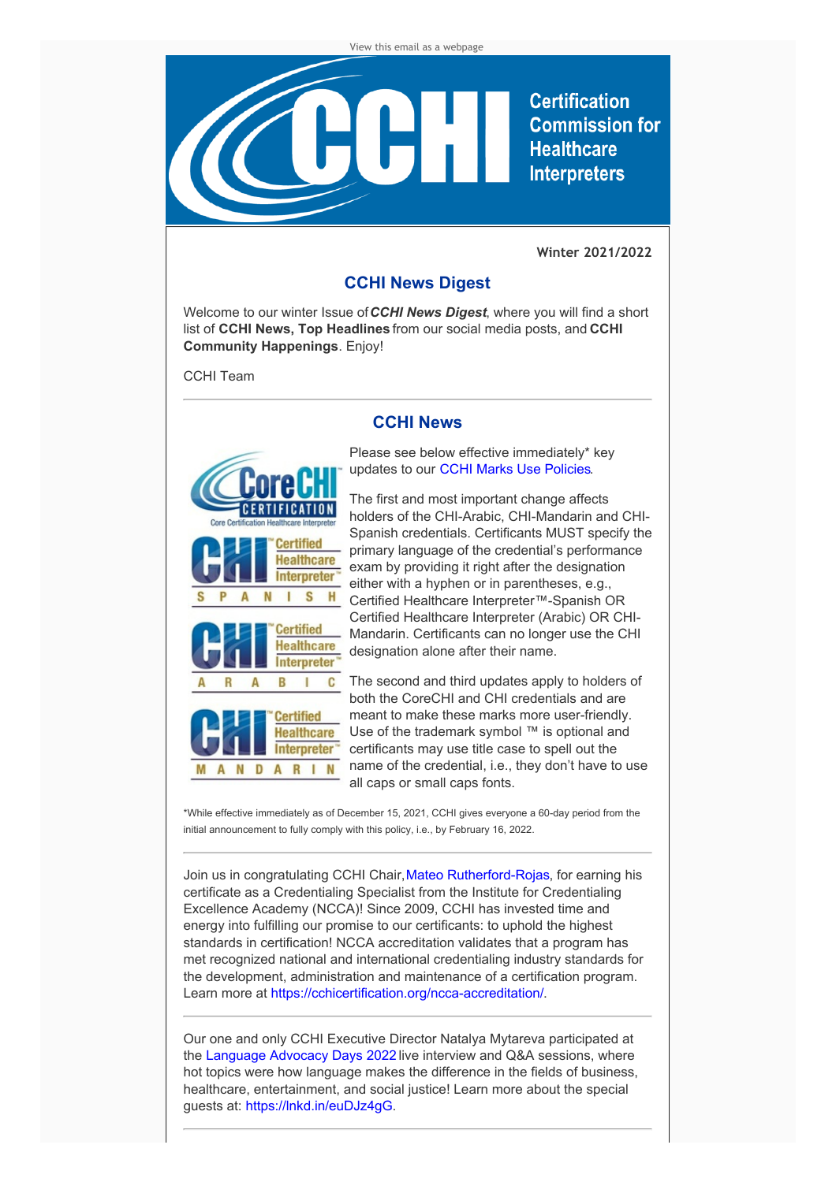

**Certification Commission for Healthcare Interpreters** 

**Winter 2021/2022**

## **CCHI News Digest**

Welcome to our winter Issue of*CCHI News Digest*, where you will find a short list of **CCHI News, Top Headlines** from our social media posts, and **CCHI Community Happenings**. Enjoy!

CCHI Team

## **CCHI News**



Please see below effective immediately\* key updates to our CCHI Marks Use [Policies](https://cchicertification.org/updates-to-cchis-marks-use-policies/).

The first and most important change affects holders of the CHI-Arabic, CHI-Mandarin and CHI-Spanish credentials. Certificants MUST specify the primary language of the credential's performance exam by providing it right after the designation either with a hyphen or in parentheses, e.g., Certified Healthcare Interpreter™-Spanish OR Certified Healthcare Interpreter (Arabic) OR CHI-Mandarin. Certificants can no longer use the CHI designation alone after their name.

C The second and third updates apply to holders of both the CoreCHI and CHI credentials and are meant to make these marks more user-friendly. Use of the trademark symbol ™ is optional and certificants may use title case to spell out the name of the credential, i.e., they don't have to use all caps or small caps fonts.

\*While effective immediately as of December 15, 2021, CCHI gives everyone a 60-day period from the initial announcement to fully comply with this policy, i.e., by February 16, 2022.

Join us in congratulating CCHI Chair, Mateo [Rutherford-Rojas](https://www.linkedin.com/in/mateo-rutherford-2296958b/), for earning his certificate as a Credentialing Specialist from the Institute for Credentialing Excellence Academy (NCCA)! Since 2009, CCHI has invested time and energy into fulfilling our promise to our certificants: to uphold the highest standards in certification! NCCA accreditation validates that a program has met recognized national and international credentialing industry standards for the development, administration and maintenance of a certification program. Learn more at <https://cchicertification.org/ncca-accreditation/>.

Our one and only CCHI Executive Director Natalya Mytareva participated at the [Language](https://www.languagepolicy.org/lad22) Advocacy Days 2022 live interview and Q&A sessions, where hot topics were how language makes the difference in the fields of business, healthcare, entertainment, and social justice! Learn more about the special guests at: <https://lnkd.in/euDJz4gG>.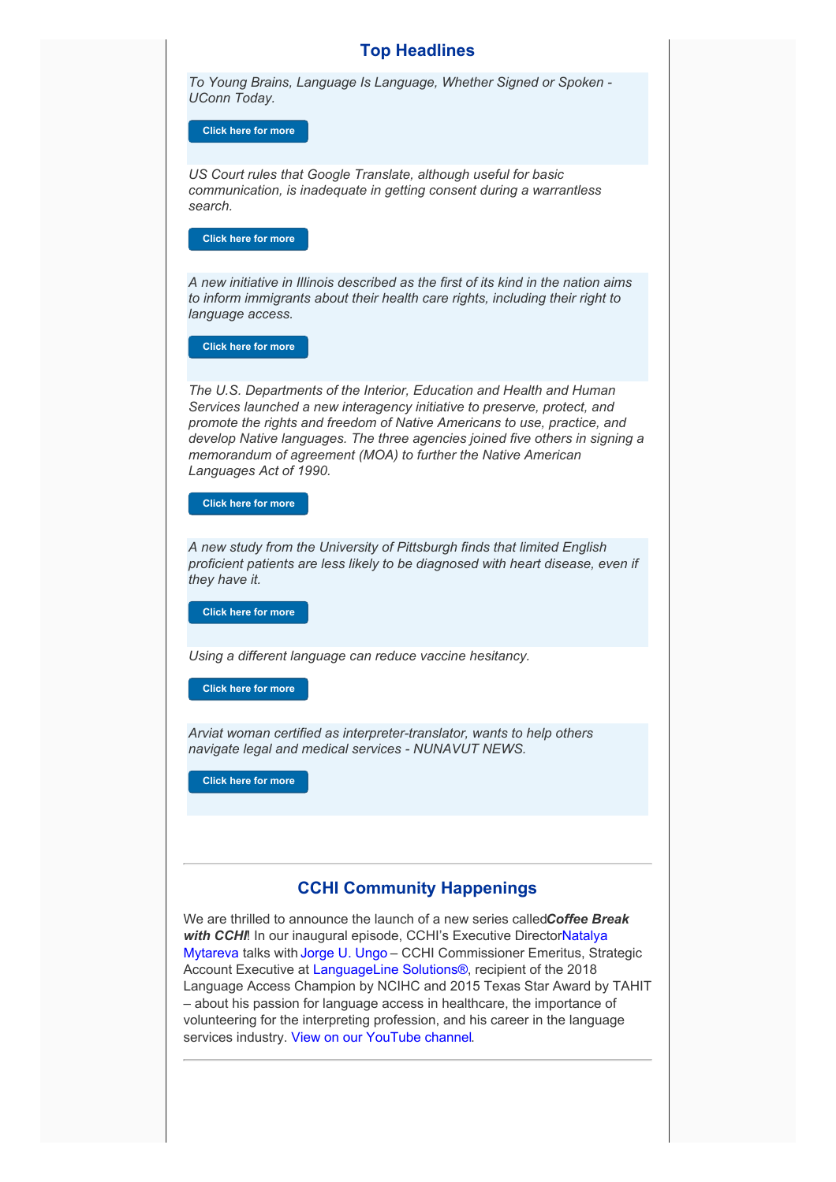#### **Top Headlines**

*To Young Brains, Language Is Language, Whether Signed or Spoken - UConn Today.*

**Click here for [more](https://today.uconn.edu/2021/11/to-young-brains-language-is-language-whether-signed-or-spoken/)**

*US Court rules that Google Translate, although useful for basic communication, is inadequate in getting consent during a warrantless search.*

**Click here for [more](https://slator.com/google-translate-useful-tool-but-inadequate-for-soliciting-consent/?fbclid=IwAR3N1vWvo6NVtOExg03iKzBOgM3gWMBGszt4nJCALFcS1XFNcdYfYBDBJH4)**

*A new initiative in Illinois described as the first of its kind in the nation aims to inform immigrants about their health care rights, including their right to language access.*

**Click here for [more](https://news.wttw.com/2021/11/06/new-program-informs-immigrants-health-care-rights)**

*The U.S. Departments of the Interior, Education and Health and Human Services launched a new interagency initiative to preserve, protect, and promote the rights and freedom of Native Americans to use, practice, and develop Native languages. The three agencies joined five others in signing a memorandum of agreement (MOA) to further the Native American Languages Act of 1990.*

**Click here for [more](https://www.ed.gov/news/press-releases/departments-interior-education-and-health-human-services-launch-multi-agency-initiative-protect-and-preserve-native-languages)**

*A new study from the University of Pittsburgh finds that limited English proficient patients are less likely to be diagnosed with heart disease, even if they have it.*

**Click here for [more](https://www.wesa.fm/health-science-tech/2022-01-26/a-language-barrier-may-limit-early-diagnosis-of-heart-disease-pitt-study-finds%20#languageaccess%20#heartdisease)**

*Using a different language can reduce vaccine hesitancy.*

**Click here for [more](https://medicalxpress.com/news/2022-01-language-vaccine-hesitancy.html)**

*Arviat woman certified as interpreter-translator, wants to help others navigate legal and medical services - NUNAVUT NEWS.*

**Click here for [more](https://lnkd.in/e39bkPvK)**

### **CCHI Community Happenings**

We are thrilled to announce the launch of a new series called*Coffee Break with CCHI*! In our inaugural episode, CCHI's Executive [DirectorNatalya](https://www.linkedin.com/in/ACoAAAnQJfEBl50jIK1ZMcA8Dr3lhXRhqmAz5xg) Mytareva talks with [Jorge](https://www.linkedin.com/in/ACoAAAERR1AB76TKlOfh0aqITSyLc8ULPKF0pPs) U. Ungo – CCHI Commissioner Emeritus, Strategic Account Executive at [LanguageLine](https://www.linkedin.com/company/languageline-solutions/) Solutions®, recipient of the 2018 Language Access Champion by NCIHC and 2015 Texas Star Award by TAHIT – about his passion for language access in healthcare, the importance of volunteering for the interpreting profession, and his career in the language services industry. View on our [YouTube](https://youtu.be/AdGJmTJb0Ck) channel.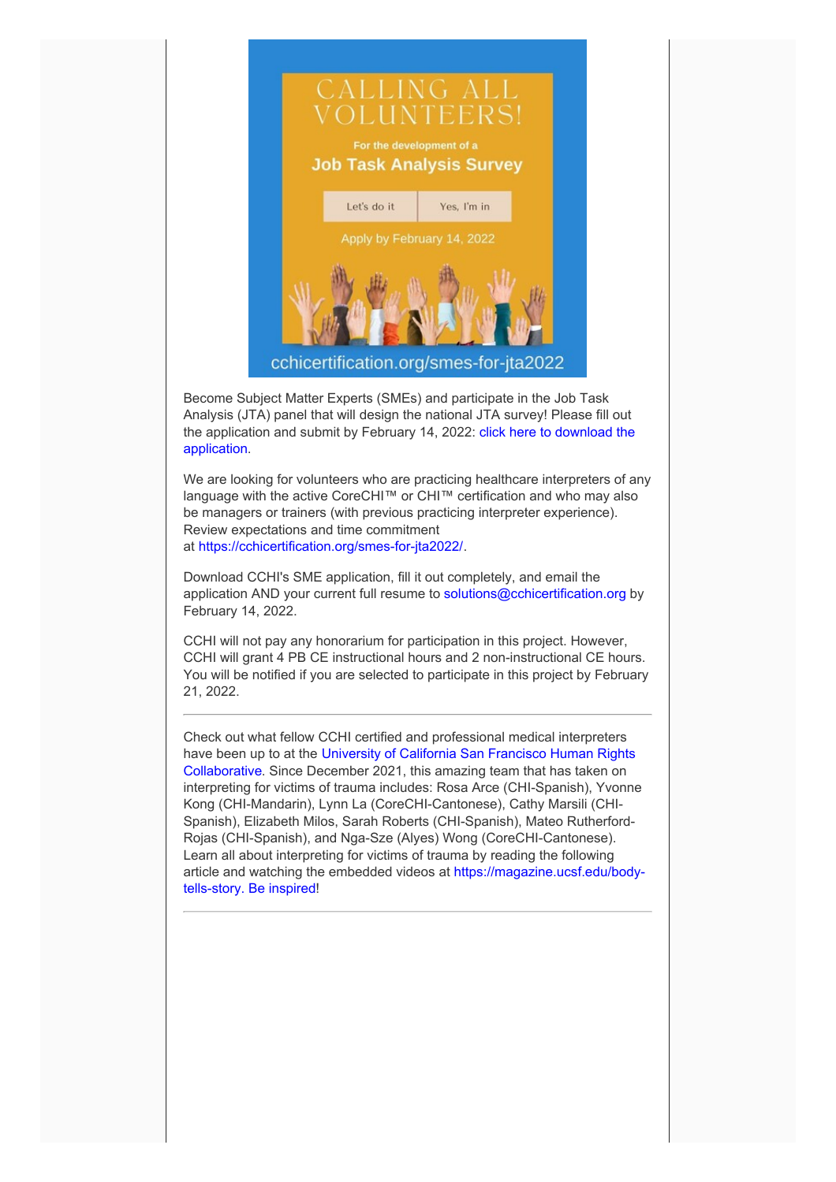

Become Subject Matter Experts (SMEs) and participate in the Job Task Analysis (JTA) panel that will design the national JTA survey! Please fill out the application and submit by February 14, 2022: click here to download the [application.](https://cchicertification.org/uploads/CCHI_SME_Application.docx)

We are looking for volunteers who are practicing healthcare interpreters of any language with the active CoreCHI™ or CHI™ certification and who may also be managers or trainers (with previous practicing interpreter experience). Review expectations and time commitment at <https://cchicertification.org/smes-for-jta2022/>.

Download CCHI's SME application, fill it out completely, and email the application AND your current full resume to [solutions@cchicertification.org](mailto:solutions@cchicertification.org) by February 14, 2022.

CCHI will not pay any honorarium for participation in this project. However, CCHI will grant 4 PB CE instructional hours and 2 non-instructional CE hours. You will be notified if you are selected to participate in this project by February 21, 2022.

Check out what fellow CCHI certified and professional medical interpreters have been up to at the University of California San Francisco Human Rights [Collaborative.](https://humanrights.ucsf.edu/our-programs) Since December 2021, this amazing team that has taken on interpreting for victims of trauma includes: Rosa Arce (CHI-Spanish), Yvonne Kong (CHI-Mandarin), Lynn La (CoreCHI-Cantonese), Cathy Marsili (CHI-Spanish), Elizabeth Milos, Sarah Roberts (CHI-Spanish), Mateo Rutherford-Rojas (CHI-Spanish), and Nga-Sze (Alyes) Wong (CoreCHI-Cantonese). Learn all about interpreting for victims of trauma by reading the following article and watching the embedded videos at [https://magazine.ucsf.edu/body](https://magazine.ucsf.edu/body-tells-story)tells-story. Be inspired!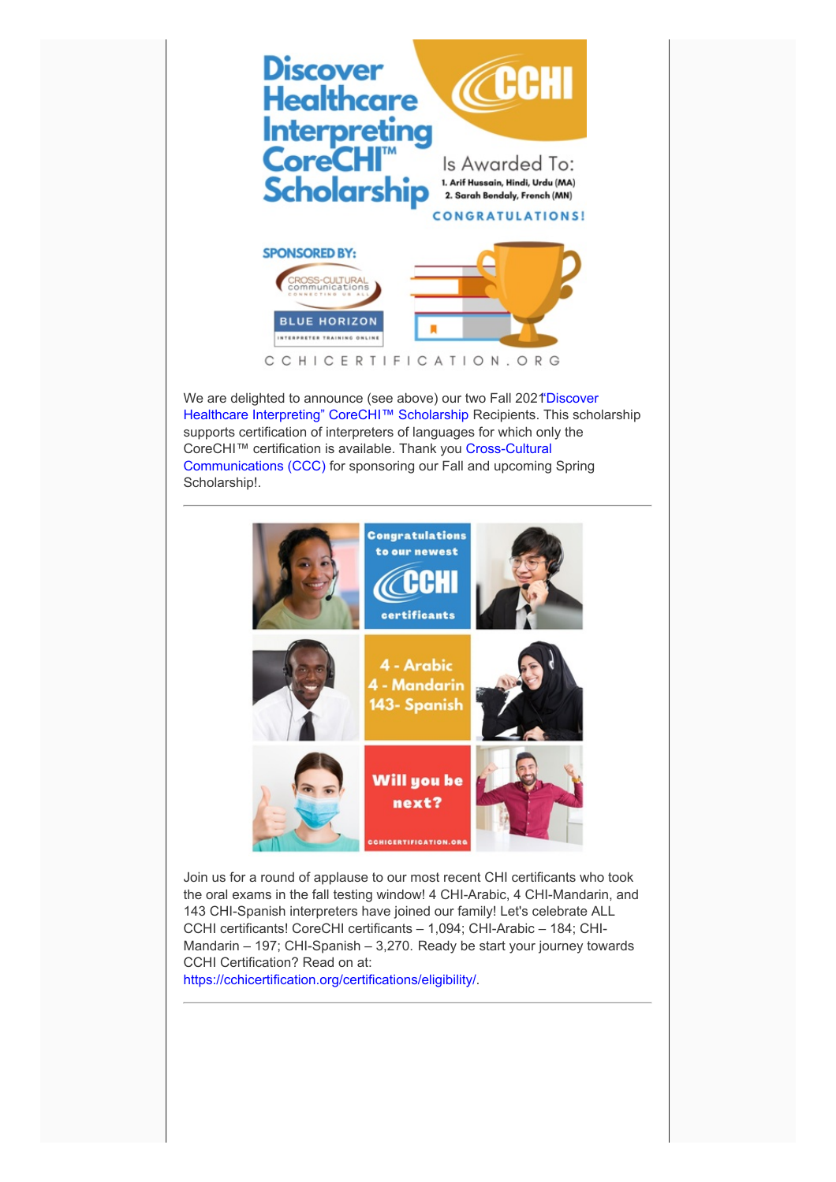

We are delighted to announce (see above) our two Fall 2021 Discover Healthcare Interpreting" CoreCHI™ Scholarship Recipients. This scholarship supports certification of interpreters of languages for which only the CoreCHI™ certification is available. Thank you Cross-Cultural [Communications](https://www.cultureandlanguage.net/) (CCC) for sponsoring our Fall and upcoming Spring Scholarship!.



Join us for a round of applause to our most recent CHI certificants who took the oral exams in the fall testing window! 4 CHI-Arabic, 4 CHI-Mandarin, and 143 CHI-Spanish interpreters have joined our family! Let's celebrate ALL CCHI certificants! CoreCHI certificants – 1,094; CHI-Arabic – 184; CHI-Mandarin – 197; CHI-Spanish – 3,270. Ready be start your journey towards CCHI Certification? Read on at:

<https://cchicertification.org/certifications/eligibility/>.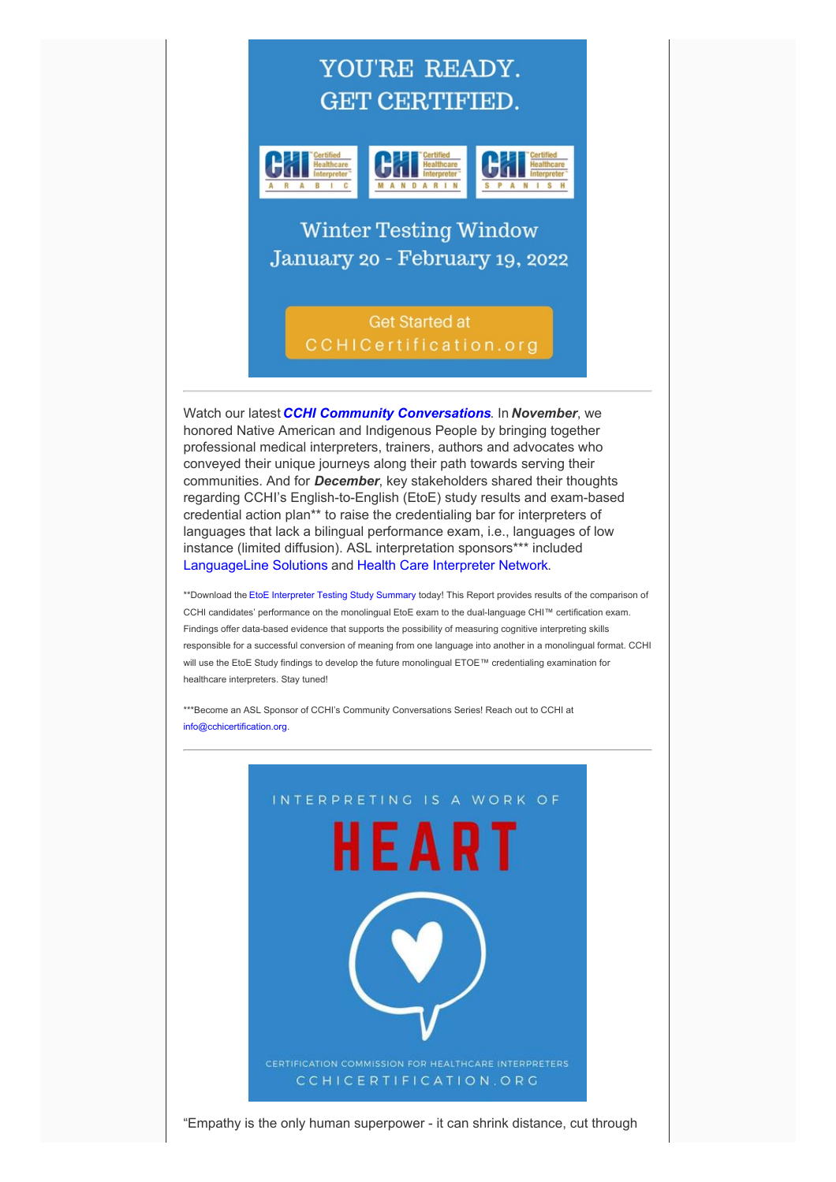# YOU'RE READY. **GET CERTIFIED.**



**Winter Testing Window** January 20 - February 19, 2022

> **Get Started at** CCHICertification.org

Watch our latest *CCHI Community [Conversations](https://cchicertification.org/our-community/)*. In *November*, we honored Native American and Indigenous People by bringing together professional medical interpreters, trainers, authors and advocates who conveyed their unique journeys along their path towards serving their communities. And for *December*, key stakeholders shared their thoughts regarding CCHI's English-to-English (EtoE) study results and exam-based credential action plan\*\* to raise the credentialing bar for interpreters of languages that lack a bilingual performance exam, i.e., languages of low instance (limited diffusion). ASL interpretation sponsors\*\*\* included [LanguageLine](https://www.languageline.com/s/) Solutions and Health Care [Interpreter](https://www.hcin.org/) Network.

\*\*Download the EtoE [Interpreter](https://cchicertification.org/uploads/CCHI_ETOE_Study_Summary.pdf) Testing Study Summary today! This Report provides results of the comparison of CCHI candidates' performance on the monolingual EtoE exam to the dual-language CHI™ certification exam. Findings offer data-based evidence that supports the possibility of measuring cognitive interpreting skills responsible for a successful conversion of meaning from one language into another in a monolingual format. CCHI will use the EtoE Study findings to develop the future monolingual ETOE™ credentialing examination for healthcare interpreters. Stay tuned!

\*\*\*Become an ASL Sponsor of CCHI's Community Conversations Series! Reach out to CCHI at [info@cchicertification.org](mailto:info@cchicertification.org).



"Empathy is the only human superpower - it can shrink distance, cut through